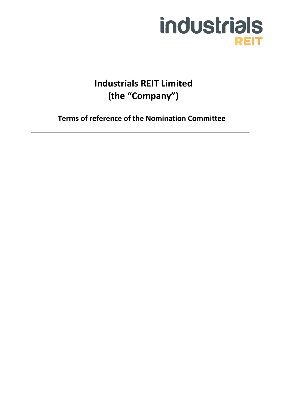# industrials **REIT**

**Industrials REIT Limited (the "Company")**

**Terms of reference of the Nomination Committee**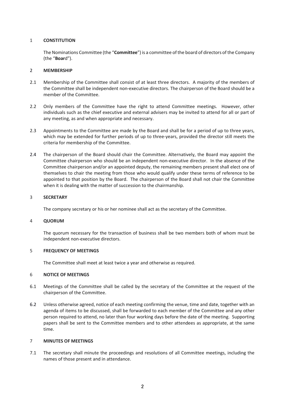# 1 **CONSTITUTION**

The Nominations Committee (the "**Committee**") is a committee of the board of directors of the Company (the "**Boar**d").

## 2 **MEMBERSHIP**

- 2.1 Membership of the Committee shall consist of at least three directors. A majority of the members of the Committee shall be independent non-executive directors. The chairperson of the Board should be a member of the Committee.
- 2.2 Only members of the Committee have the right to attend Committee meetings. However, other individuals such as the chief executive and external advisers may be invited to attend for all or part of any meeting, as and when appropriate and necessary.
- 2.3 Appointments to the Committee are made by the Board and shall be for a period of up to three years, which may be extended for further periods of up to three-years, provided the director still meets the criteria for membership of the Committee.
- 2.4 The chairperson of the Board should chair the Committee. Alternatively, the Board may appoint the Committee chairperson who should be an independent non-executive director. In the absence of the Committee chairperson and/or an appointed deputy, the remaining members present shall elect one of themselves to chair the meeting from those who would qualify under these terms of reference to be appointed to that position by the Board. The chairperson of the Board shall not chair the Committee when it is dealing with the matter of succession to the chairmanship.

# 3 **SECRETARY**

The company secretary or his or her nominee shall act as the secretary of the Committee.

#### 4 **QUORUM**

The quorum necessary for the transaction of business shall be two members both of whom must be independent non-executive directors.

#### 5 **FREQUENCY OF MEETINGS**

The Committee shall meet at least twice a year and otherwise as required.

# 6 **NOTICE OF MEETINGS**

- 6.1 Meetings of the Committee shall be called by the secretary of the Committee at the request of the chairperson of the Committee.
- 6.2 Unless otherwise agreed, notice of each meeting confirming the venue, time and date, together with an agenda of items to be discussed, shall be forwarded to each member of the Committee and any other person required to attend, no later than four working days before the date of the meeting. Supporting papers shall be sent to the Committee members and to other attendees as appropriate, at the same time.

#### 7 **MINUTES OF MEETINGS**

7.1 The secretary shall minute the proceedings and resolutions of all Committee meetings, including the names of those present and in attendance.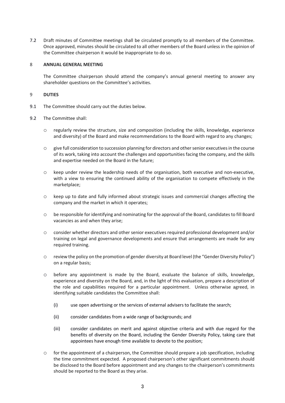7.2 Draft minutes of Committee meetings shall be circulated promptly to all members of the Committee. Once approved, minutes should be circulated to all other members of the Board unless in the opinion of the Committee chairperson it would be inappropriate to do so.

## 8 **ANNUAL GENERAL MEETING**

The Committee chairperson should attend the company's annual general meeting to answer any shareholder questions on the Committee's activities.

## 9 **DUTIES**

- 9.1 The Committee should carry out the duties below.
- 9.2 The Committee shall:
	- o regularly review the structure, size and composition (including the skills, knowledge, experience and diversity) of the Board and make recommendations to the Board with regard to any changes;
	- o give full consideration to succession planning for directors and other senior executives in the course of its work, taking into account the challenges and opportunities facing the company, and the skills and expertise needed on the Board in the future;
	- o keep under review the leadership needs of the organisation, both executive and non-executive, with a view to ensuring the continued ability of the organisation to compete effectively in the marketplace;
	- o keep up to date and fully informed about strategic issues and commercial changes affecting the company and the market in which it operates;
	- o be responsible for identifying and nominating for the approval of the Board, candidates to fill Board vacancies as and when they arise;
	- o consider whether directors and other senior executives required professional development and/or training on legal and governance developments and ensure that arrangements are made for any required training.
	- o review the policy on the promotion of gender diversity at Board level (the "Gender Diversity Policy") on a regular basis;
	- o before any appointment is made by the Board, evaluate the balance of skills, knowledge, experience and diversity on the Board, and, in the light of this evaluation, prepare a description of the role and capabilities required for a particular appointment. Unless otherwise agreed, in identifying suitable candidates the Committee shall:
		- (i) use open advertising or the services of external advisers to facilitate the search;
		- (ii) consider candidates from a wide range of backgrounds; and
		- (iii) consider candidates on merit and against objective criteria and with due regard for the benefits of diversity on the Board, including the Gender Diversity Policy, taking care that appointees have enough time available to devote to the position;
	- o for the appointment of a chairperson, the Committee should prepare a job specification, including the time commitment expected. A proposed chairperson's other significant commitments should be disclosed to the Board before appointment and any changes to the chairperson's commitments should be reported to the Board as they arise.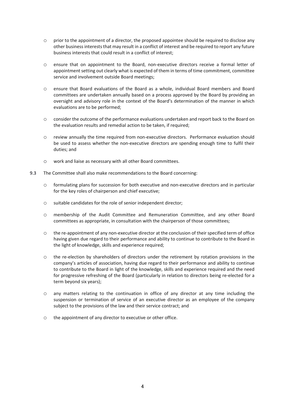- $\circ$  prior to the appointment of a director, the proposed appointee should be required to disclose any other business interests that may result in a conflict of interest and be required to report any future business interests that could result in a conflict of interest;
- o ensure that on appointment to the Board, non-executive directors receive a formal letter of appointment setting out clearly what is expected of them in terms of time commitment, committee service and involvement outside Board meetings;
- o ensure that Board evaluations of the Board as a whole, individual Board members and Board committees are undertaken annually based on a process approved by the Board by providing an oversight and advisory role in the context of the Board's determination of the manner in which evaluations are to be performed;
- o consider the outcome of the performance evaluations undertaken and report back to the Board on the evaluation results and remedial action to be taken, if required;
- o review annually the time required from non-executive directors. Performance evaluation should be used to assess whether the non-executive directors are spending enough time to fulfil their duties; and
- o work and liaise as necessary with all other Board committees.
- 9.3 The Committee shall also make recommendations to the Board concerning:
	- o formulating plans for succession for both executive and non-executive directors and in particular for the key roles of chairperson and chief executive;
	- o suitable candidates for the role of senior independent director;
	- o membership of the Audit Committee and Remuneration Committee, and any other Board committees as appropriate, in consultation with the chairperson of those committees;
	- o the re-appointment of any non-executive director at the conclusion of their specified term of office having given due regard to their performance and ability to continue to contribute to the Board in the light of knowledge, skills and experience required;
	- o the re-election by shareholders of directors under the retirement by rotation provisions in the company's articles of association, having due regard to their performance and ability to continue to contribute to the Board in light of the knowledge, skills and experience required and the need for progressive refreshing of the Board (particularly in relation to directors being re-elected for a term beyond six years);
	- o any matters relating to the continuation in office of any director at any time including the suspension or termination of service of an executive director as an employee of the company subject to the provisions of the law and their service contract; and
	- o the appointment of any director to executive or other office.